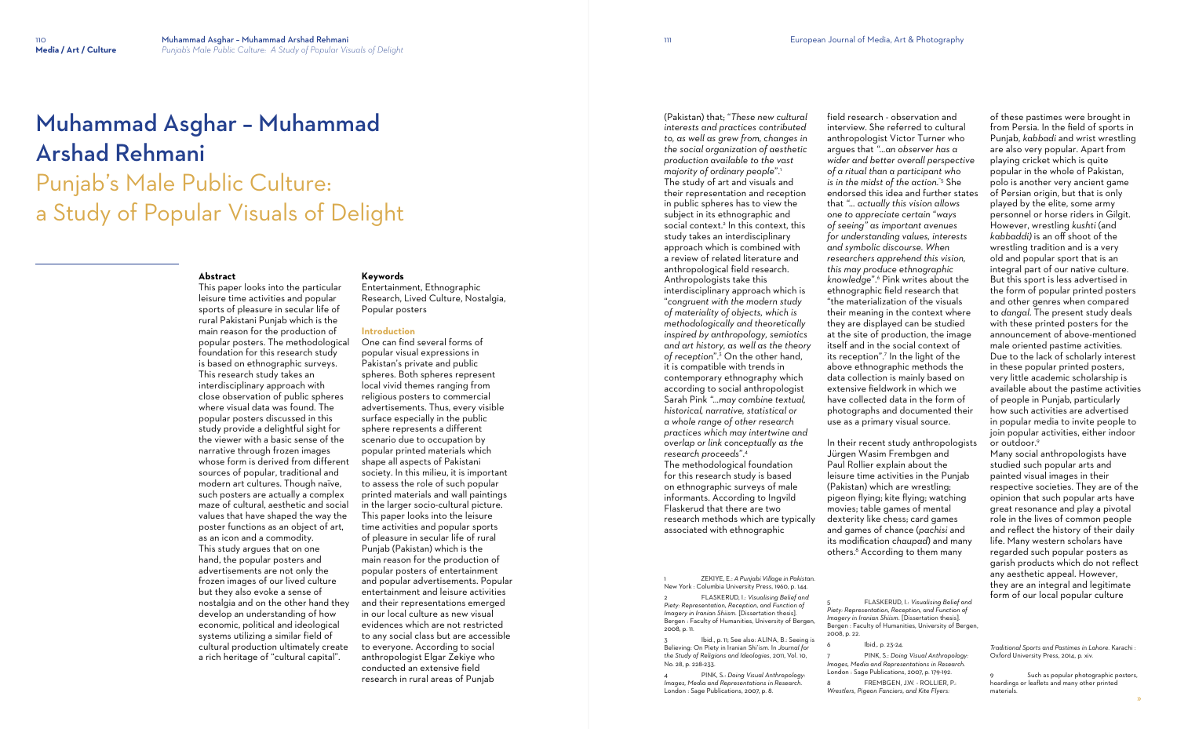# Muhammad Asghar – Muhammad Arshad Rehmani

Punjab's Male Public Culture: a Study of Popular Visuals of Delight

#### **Abstract**

This paper looks into the particular leisure time activities and popular sports of pleasure in secular life of rural Pakistani Punjab which is the main reason for the production of popular posters. The methodological foundation for this research study is based on ethnographic surveys. This research study takes an interdisciplinary approach with close observation of public spheres where visual data was found. The popular posters discussed in this study provide a delightful sight for the viewer with a basic sense of the narrative through frozen images whose form is derived from different sources of popular, traditional and modern art cultures. Though naïve, such posters are actually a complex maze of cultural, aesthetic and social values that have shaped the way the poster functions as an object of art, as an icon and a commodity. This study argues that on one hand, the popular posters and advertisements are not only the frozen images of our lived culture but they also evoke a sense of nostalgia and on the other hand they develop an understanding of how economic, political and ideological systems utilizing a similar field of cultural production ultimately create a rich heritage of "cultural capital".

(Pakistan) that; "*These new cultural interests and practices contributed to, as well as grew from, changes in the social organization of aesthetic production available to the vast majority of ordinary people*".<sup>1</sup>

#### **Keywords**

Entertainment, Ethnographic Research, Lived Culture, Nostalgia, Popular posters

#### **Introduction**

One can find several forms of popular visual expressions in Pakistan's private and public spheres. Both spheres represent local vivid themes ranging from religious posters to commercial advertisements. Thus, every visible surface especially in the public sphere represents a different scenario due to occupation by popular printed materials which shape all aspects of Pakistani society. In this milieu, it is important to assess the role of such popular printed materials and wall paintings in the larger socio-cultural picture. This paper looks into the leisure time activities and popular sports of pleasure in secular life of rural Punjab (Pakistan) which is the main reason for the production of popular posters of entertainment and popular advertisements. Popular entertainment and leisure activities and their representations emerged in our local culture as new visual evidences which are not restricted to any social class but are accessible to everyone. According to social anthropologist Elgar Zekiye who conducted an extensive field research in rural areas of Punjab

Ibid., p. 11; See also: ALINA, B.: Seeing is Believing: On Piety in Iranian Shi'ism. In *Journal for the Study of Religions and Ideologies,* 2011, Vol. 10, No. 28, p. 228-233.

> FREMBGEN, J.W. - ROLLIER, P.: *Wrestlers, Pigeon Fanciers, and Kite Flyers:*

The study of art and visuals and their representation and reception in public spheres has to view the subject in its ethnographic and social context.<sup>2</sup> In this context, this study takes an interdisciplinary approach which is combined with a review of related literature and anthropological field research. Anthropologists take this interdisciplinary approach which is "*congruent with the modern study of materiality of objects, which is methodologically and theoretically inspired by anthropology, semiotics and art history, as well as the theory of reception*".<sup>3</sup> On the other hand, it is compatible with trends in contemporary ethnography which according to social anthropologist Sarah Pink *"…may combine textual, historical, narrative, statistical or a whole range of other research practices which may intertwine and overlap or link conceptually as the research proceeds*".<sup>4</sup> The methodological foundation for this research study is based on ethnographic surveys of male informants. According to Ingvild Flaskerud that there are two research methods which are typically associated with ethnographic

1 ZEKIYE, E.: *A Punjabi Village in Pakistan*. New York : Columbia University Press, 1960, p. 144.

2 FLASKERUD, I.: *Visualising Belief and Piety: Representation, Reception, and Function of Imagery in Iranian Shiism.* [Dissertation thesis]. Bergen : Faculty of Humanities, University of Bergen, 2008, p. 11.

4 PINK, S.: *Doing Visual Anthropology: Images, Media and Representations in Research*. London : Sage Publications, 2007, p. 8.

field research - observation and interview. She referred to cultural anthropologist Victor Turner who argues that *"…an observer has a wider and better overall perspective of a ritual than a participant who is in the midst of the action.*"5 She endorsed this idea and further states that *"… actually this vision allows one to appreciate certain* "*ways of seeing" as important avenues for understanding values, interests and symbolic discourse. When researchers apprehend this vision, this may produce ethnographic knowledge*".<sup>6</sup> Pink writes about the ethnographic field research that "the materialization of the visuals their meaning in the context where they are displayed can be studied at the site of production, the image itself and in the social context of its reception".<sup>7</sup> In the light of the above ethnographic methods the data collection is mainly based on extensive fieldwork in which we have collected data in the form of photographs and documented their use as a primary visual source.

In their recent study anthropologists Jürgen Wasim Frembgen and Paul Rollier explain about the leisure time activities in the Punjab (Pakistan) which are wrestling; pigeon flying; kite flying; watching movies; table games of mental dexterity like chess; card games and games of chance (*pachisi* and its modification c*haupad*) and many others.<sup>8</sup> According to them many

#### lbid,. p. 23-24.

2008, p. 22.

7 PINK, S.: *Doing Visual Anthropology: Images, Media and Representations in Research*. London : Sage Publications, 2007, p. 179-192.

of these pastimes were brought in from Persia. In the field of sports in Punjab, *kabbadi* and wrist wrestling are also very popular. Apart from playing cricket which is quite popular in the whole of Pakistan, polo is another very ancient game of Persian origin, but that is only played by the elite, some army personnel or horse riders in Gilgit. However, wrestling *kushti* (and *kabbaddi)* is an off shoot of the wrestling tradition and is a very old and popular sport that is an integral part of our native culture. But this sport is less advertised in the form of popular printed posters and other genres when compared to *dangal*. The present study deals with these printed posters for the announcement of above-mentioned male oriented pastime activities. Due to the lack of scholarly interest in these popular printed posters, very little academic scholarship is available about the pastime activities of people in Punjab, particularly how such activities are advertised in popular media to invite people to join popular activities, either indoor or outdoor. 9

Many social anthropologists have studied such popular arts and painted visual images in their respective societies. They are of the opinion that such popular arts have great resonance and play a pivotal role in the lives of common people and reflect the history of their daily life. Many western scholars have regarded such popular posters as garish products which do not reflect any aesthetic appeal. However, they are an integral and legitimate form of our local popular culture

*Traditional Sports and Pastimes in Lahore.* Karachi : Oxford University Press, 2014, p. xiv.

Such as popular photographic posters, hoardings or leaflets and many other printed materials.

<sup>5</sup> FLASKERUD, I.: *Visualising Belief and Piety: Representation, Reception, and Function of Imagery in Iranian Shiism.* [Dissertation thesis]. Bergen : Faculty of Humanities, University of Bergen,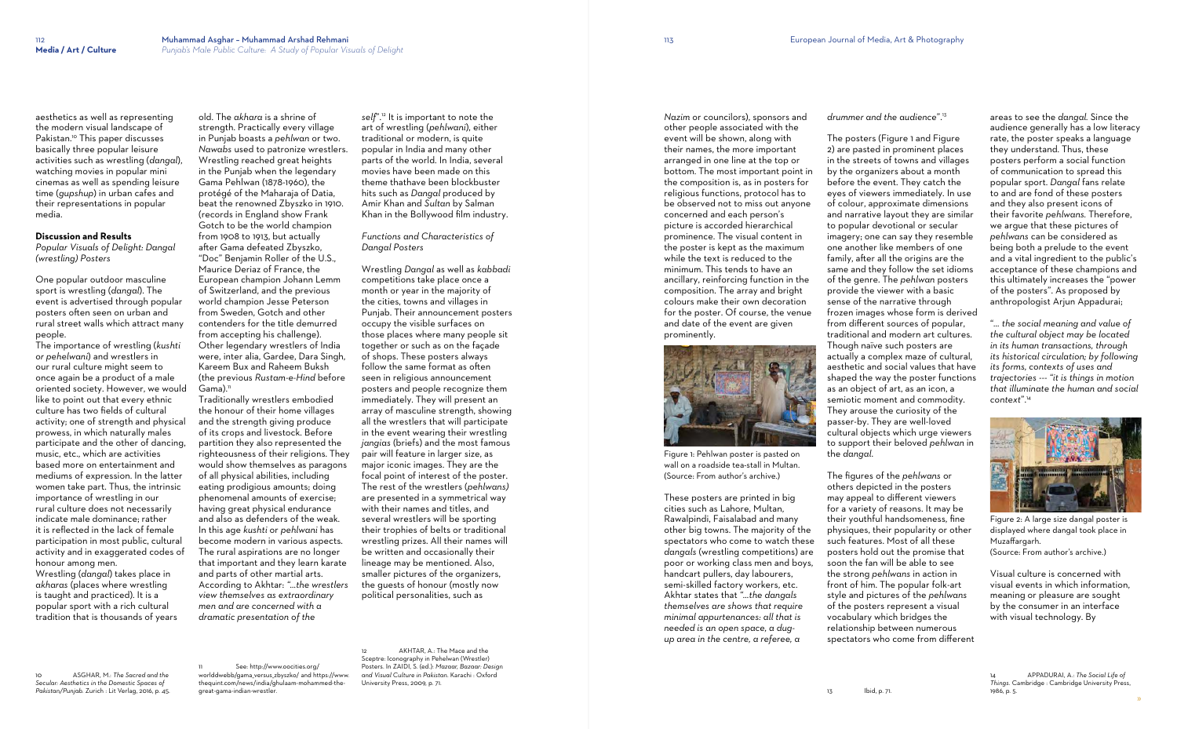»

aesthetics as well as representing the modern visual landscape of Pakistan.<sup>10</sup> This paper discusses basically three popular leisure activities such as wrestling (*dangal*), watching movies in popular mini cinemas as well as spending leisure time (*gupshup*) in urban cafes and their representations in popular media.

#### **Discussion and Results**

*Popular Visuals of Delight: Dangal (wrestling) Posters*

One popular outdoor masculine sport is wrestling (*dangal*). The event is advertised through popular posters often seen on urban and rural street walls which attract many people.

strength. Practically every village in Punjab boasts a *pehlwan* or two. *Nawabs* used to patronize wrestlers. Wrestling reached great heights in the Punjab when the legendary Gama Pehlwan (1878-1960), the protégé of the Maharaja of Datia, beat the renowned Zbyszko in 1910. (records in England show Frank Gotch to be the world champion from 1908 to 1913, but actually after Gama defeated Zbyszko, "Doc" Benjamin Roller of the U.S., Maurice Deriaz of France, the European champion Johann Lemm of Switzerland, and the previous world champion Jesse Peterson from Sweden, Gotch and other contenders for the title demurred from accepting his challenge). Other legendary wrestlers of India were, inter alia, Gardee, Dara Singh, Kareem Bux and Raheem Buksh (the previous *Rustam-e-Hind* before  $Gama$ ).<sup>11</sup>

The importance of wrestling (*kushti or pehelwani*) and wrestlers in our rural culture might seem to once again be a product of a male oriented society. However, we would like to point out that every ethnic culture has two fields of cultural activity; one of strength and physical prowess, in which naturally males participate and the other of dancing, music, etc., which are activities based more on entertainment and mediums of expression. In the latter women take part. Thus, the intrinsic importance of wrestling in our rural culture does not necessarily indicate male dominance; rather it is reflected in the lack of female participation in most public, cultural activity and in exaggerated codes of honour among men.

Wrestling (*dangal*) takes place in *akharas* (places where wrestling is taught and practiced). It is a popular sport with a rich cultural tradition that is thousands of years

10 ASGHAR, M.: *The Sacred and the* 

*Secular: Aesthetics in the Domestic Spaces of Pakistan/Punjab.* Zurich : Lit Verlag, 2016, p. 45.

See: [http://www.oocities.org/](http://www.oocities.org/worlddwebb/gama_versus_zbyszko/) [worlddwebb/gama\\_versus\\_zbyszko/](http://www.oocities.org/worlddwebb/gama_versus_zbyszko/) and [https://www.](https://www.thequint.com/news/india/ghulaam-mohammed-the-great-gama-indian-wrestler) [thequint.com/news/india/ghulaam-mohammed-the](https://www.thequint.com/news/india/ghulaam-mohammed-the-great-gama-indian-wrestler)[great-gama-indian-wrestler](https://www.thequint.com/news/india/ghulaam-mohammed-the-great-gama-indian-wrestler)*.*

old. The *akhara* is a shrine of

AKHTAR, A.: The Mace and the Sceptre: Iconography in Pehelwan (Wrestler) Posters. In ZAIDI, S. (ed.): *Mazaar, Bazaar: Design and Visual Culture in Pakistan*. Karachi : Oxford University Press, 2009, p. 71.

Traditionally wrestlers embodied the honour of their home villages and the strength giving produce of its crops and livestock. Before partition they also represented the righteousness of their religions. They would show themselves as paragons of all physical abilities, including eating prodigious amounts; doing phenomenal amounts of exercise; having great physical endurance and also as defenders of the weak. In this age *kushti* or *pehlwani* has become modern in various aspects. The rural aspirations are no longer that important and they learn karate and parts of other martial arts. According to Akhtar: *"…the wrestlers view themselves as extraordinary men and are concerned with a dramatic presentation of the* 

*self*".<sup>12</sup> It is important to note the art of wrestling (*pehlwani*), either traditional or modern, is quite popular in India and many other parts of the world. In India, several movies have been made on this theme thathave been blockbuster hits such as *Dangal* produced by Amir Khan and *Sultan* by Salman Khan in the Bollywood film industry.

The posters (Figure 1 and Figure 2) are pasted in prominent places in the streets of towns and villages by the organizers about a month before the event. They catch the eyes of viewers immediately. In use of colour, approximate dimensions and narrative layout they are similar to popular devotional or secular imagery; one can say they resemble one another like members of one family, after all the origins are the same and they follow the set idioms of the genre. The *pehlwan* posters provide the viewer with a basic sense of the narrative through frozen images whose form is derived from different sources of popular, traditional and modern art cultures. Though naïve such posters are actually a complex maze of cultural, aesthetic and social values that have shaped the way the poster functions as an object of art, as an icon, a semiotic moment and commodity. They arouse the curiosity of the passer-by. They are well-loved cultural objects which urge viewers to support their beloved *pehlwan* in the *dangal*.

# *Functions and Characteristics of Dangal Posters*

Wrestling *Dangal* as well as *kabbadi* competitions take place once a month or year in the majority of the cities, towns and villages in Punjab. Their announcement posters occupy the visible surfaces on those places where many people sit together or such as on the façade of shops. These posters always follow the same format as often seen in religious announcement posters and people recognize them immediately. They will present an array of masculine strength, showing all the wrestlers that will participate in the event wearing their wrestling *jangias* (briefs) and the most famous pair will feature in larger size, as major iconic images. They are the focal point of interest of the poster. The rest of the wrestlers (*pehlwans)* are presented in a symmetrical way with their names and titles, and several wrestlers will be sporting their trophies of belts or traditional wrestling prizes. All their names will be written and occasionally their lineage may be mentioned. Also, smaller pictures of the organizers, the guests of honour (mostly now political personalities, such as

*Nazim* or councilors), sponsors and other people associated with the event will be shown, along with their names, the more important arranged in one line at the top or bottom. The most important point in the composition is, as in posters for religious functions, protocol has to be observed not to miss out anyone concerned and each person's picture is accorded hierarchical prominence. The visual content in the poster is kept as the maximum while the text is reduced to the minimum. This tends to have an ancillary, reinforcing function in the composition. The array and bright colours make their own decoration for the poster. Of course, the venue and date of the event are given prominently.



Figure 1: Pehlwan poster is pasted on wall on a roadside tea-stall in Multan. (Source: From author's archive.)

These posters are printed in big cities such as Lahore, Multan, Rawalpindi, Faisalabad and many other big towns. The majority of the spectators who come to watch these *dangals* (wrestling competitions) are poor or working class men and boys, handcart pullers, day labourers, semi-skilled factory workers, etc. Akhtar states that *"…the dangals themselves are shows that require minimal appurtenances: all that is needed is an open space, a dugup area in the centre, a referee, a* 

*drummer and the audience*".<sup>13</sup>

The figures of the *pehlwans* or others depicted in the posters may appeal to different viewers for a variety of reasons. It may be their youthful handsomeness, fine physiques, their popularity or other such features. Most of all these posters hold out the promise that soon the fan will be able to see the strong *pehlwans* in action in front of him. The popular folk-art style and pictures of the *pehlwans* of the posters represent a visual vocabulary which bridges the relationship between numerous spectators who come from different areas to see the *dangal.* Since the audience generally has a low literacy rate, the poster speaks a language they understand. Thus, these posters perform a social function of communication to spread this popular sport. *Dangal* fans relate to and are fond of these posters and they also present icons of their favorite *pehlwans.* Therefore, we argue that these pictures of *pehlwans* can be considered as being both a prelude to the event and a vital ingredient to the public's acceptance of these champions and this ultimately increases the "power of the posters". As proposed by anthropologist Arjun Appadurai;

"*… the social meaning and value of the cultural object may be located in its human transactions, through its historical circulation; by following its forms, contexts of uses and trajectories --- "it is things in motion that illuminate the human and social context*". 14



Figure 2: A large size dangal poster is displayed where dangal took place in Muzaffargarh.

(Source: From author's archive.)

Visual culture is concerned with visual events in which information, meaning or pleasure are sought by the consumer in an interface with visual technology. By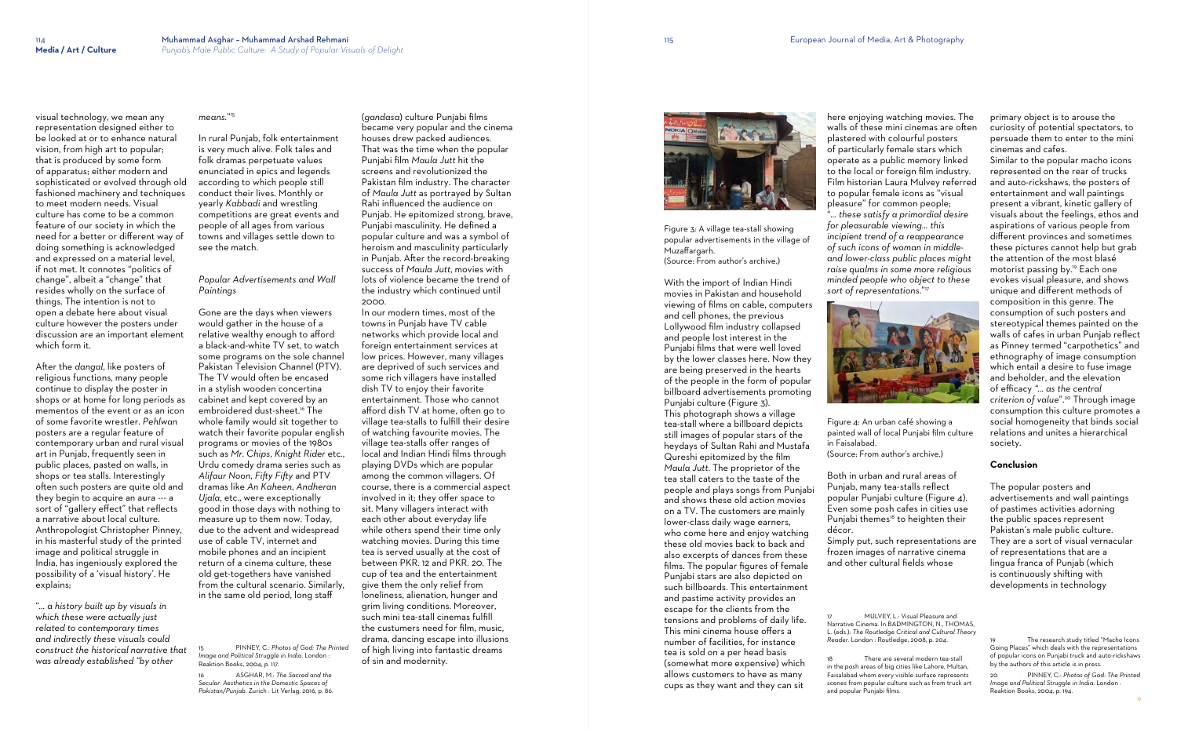visual technology, we mean any representation designed either to be looked at or to enhance natural vision, from high art to popular; that is produced by some form of apparatus; either modern and sophisticated or evolved through old fashioned machinery and techniques to meet modern needs. Visual culture has come to be a common feature of our society in which the need for a better or different way of doing something is acknowledged and expressed on a material level, if not met. It connotes "politics of change", albeit a "change" that resides wholly on the surface of things. The intention is not to open a debate here about visual culture however the posters under discussion are an important element which form it.

After the *dangal*, like posters of religious functions, many people continue to display the poster in shops or at home for long periods as mementos of the event or as an icon of some favorite wrestler. *Pehlwan* posters are a regular feature of contemporary urban and rural visual art in Punjab, frequently seen in public places, pasted on walls, in shops or tea stalls. Interestingly often such posters are quite old and they begin to acquire an aura --- a sort of "gallery effect" that reflects a narrative about local culture. Anthropologist Christopher Pinney, in his masterful study of the printed image and political struggle in India, has ingeniously explored the possibility of a 'visual history'. He explains;

"*… a history built up by visuals in which these were actually just related to contemporary times and indirectly these visuals could construct the historical narrative that was already established "by other* 

### *means.*" 15

In rural Punjab, folk entertainment is very much alive. Folk tales and folk dramas perpetuate values enunciated in epics and legends according to which people still conduct their lives. Monthly or yearly *Kabbadi* and wrestling competitions are great events and people of all ages from various towns and villages settle down to see the match.

## *Popular Advertisements and Wall Paintings*

Gone are the days when viewers would gather in the house of a relative wealthy enough to afford a black-and-white TV set, to watch some programs on the sole channel Pakistan Television Channel (PTV). The TV would often be encased in a stylish wooden concertina cabinet and kept covered by an embroidered dust-sheet.<sup>16</sup> The whole family would sit together to watch their favorite popular english programs or movies of the 1980s such as *Mr. Chips*, *Knight Rider* etc., Urdu comedy drama series such as *Alifaur Noon*, *Fifty Fifty* and PTV dramas like *An Kaheen*, *Andheran Ujala*, etc., were exceptionally good in those days with nothing to measure up to them now. Today, due to the advent and widespread use of cable TV, internet and mobile phones and an incipient return of a cinema culture, these old get-togethers have vanished from the cultural scenario. Similarly, in the same old period, long staff

15 PINNEY, C.: *Photos of God: The Printed Image and Political Struggle in India*. London : Reaktion Books, 2004, p. 117.

16 ASGHAR, M.: *The Sacred and the Secular: Aesthetics in the Domestic Spaces of Pakistan/Punjab.* Zurich : Lit Verlag, 2016, p. 86. (*gandasa*) culture Punjabi films became very popular and the cinema houses drew packed audiences. That was the time when the popular Punjabi film *Maula Jutt* hit the screens and revolutionized the Pakistan film industry. The character of *Maula Jutt* as portrayed by Sultan Rahi influenced the audience on Punjab. He epitomized strong, brave, Punjabi masculinity. He defined a popular culture and was a symbol of heroism and masculinity particularly in Punjab. After the record-breaking success of *Maula Jutt*, movies with lots of violence became the trend of the industry which continued until 2000.

> MULVEY, L.: Visual Pleasure and Narrative Cinema. In BADMINGTON, N., THOMAS, L. (eds.): *The Routledge Critical and Cultural Theory Reader*. London : Routledge, 2008, p. 204.

There are several modern tea-stall in the posh areas of big cities like Lahore, Multan, Faisalabad whom every visible surface represents scenes from popular culture such as from truck art and popular Punjabi films.

In our modern times, most of the towns in Punjab have TV cable networks which provide local and foreign entertainment services at low prices. However, many villages are deprived of such services and some rich villagers have installed dish TV to enjoy their favorite entertainment. Those who cannot afford dish TV at home, often go to village tea-stalls to fulfill their desire of watching favourite movies. The village tea-stalls offer ranges of local and Indian Hindi films through playing DVDs which are popular among the common villagers. Of course, there is a commercial aspect involved in it; they offer space to sit. Many villagers interact with each other about everyday life while others spend their time only watching movies. During this time tea is served usually at the cost of between PKR. 12 and PKR. 20. The cup of tea and the entertainment give them the only relief from loneliness, alienation, hunger and grim living conditions. Moreover, such mini tea-stall cinemas fulfill the custumers need for film, music, drama, dancing escape into illusions of high living into fantastic dreams of sin and modernity.



Figure 3: A village tea-stall showing popular advertisements in the village of Muzaffargarh.

(Source: From author's archive.)

With the import of Indian Hindi movies in Pakistan and household viewing of films on cable, computers and cell phones, the previous Lollywood film industry collapsed and people lost interest in the Punjabi films that were well loved by the lower classes here. Now they are being preserved in the hearts of the people in the form of popular billboard advertisements promoting Punjabi culture (Figure 3).

This photograph shows a village tea-stall where a billboard depicts still images of popular stars of the heydays of Sultan Rahi and Mustafa Qureshi epitomized by the film *Maula Jutt*. The proprietor of the tea stall caters to the taste of the people and plays songs from Punjabi and shows these old action movies on a TV. The customers are mainly lower-class daily wage earners, who come here and enjoy watching these old movies back to back and also excerpts of dances from these films. The popular figures of female Punjabi stars are also depicted on such billboards. This entertainment and pastime activity provides an escape for the clients from the tensions and problems of daily life. This mini cinema house offers a number of facilities, for instance tea is sold on a per head basis (somewhat more expensive) which allows customers to have as many cups as they want and they can sit

here enjoying watching movies. The walls of these mini cinemas are often plastered with colourful posters of particularly female stars which operate as a public memory linked to the local or foreign film industry. Film historian Laura Mulvey referred to popular female icons as "visual pleasure" for common people; "*… these satisfy a primordial desire for pleasurable viewing… this incipient trend of a reappearance of such icons of woman in middleand lower-class public places might raise qualms in some more religious minded people who object to these sort of representations*."<sup>17</sup>



Figure 4: An urban café showing a painted wall of local Punjabi film culture in Faisalabad. (Source: From author's archive.)

Both in urban and rural areas of Punjab, many tea-stalls reflect popular Punjabi culture (Figure 4). Even some posh cafes in cities use Punjabi themes<sup>18</sup> to heighten their décor. Simply put, such representations are frozen images of narrative cinema and other cultural fields whose

primary object is to arouse the curiosity of potential spectators, to persuade them to enter to the mini cinemas and cafes.

Similar to the popular macho icons represented on the rear of trucks and auto-rickshaws, the posters of entertainment and wall paintings present a vibrant, kinetic gallery of visuals about the feelings, ethos and aspirations of various people from different provinces and sometimes these pictures cannot help but grab the attention of the most blasé motorist passing by. 19 Each one evokes visual pleasure, and shows unique and different methods of composition in this genre. The consumption of such posters and stereotypical themes painted on the walls of cafes in urban Punjab reflect as Pinney termed "carpothetics" and ethnography of image consumption which entail a desire to fuse image and beholder, and the elevation of efficacy *"... as the central criterion of value*". 20 Through image consumption this culture promotes a social homogeneity that binds social relations and unites a hierarchical society.

## **Conclusion**

The popular posters and advertisements and wall paintings of pastimes activities adorning the public spaces represent Pakistan's male public culture. They are a sort of visual vernacular of representations that are a lingua franca of Punjab (which is continuously shifting with developments in technology

The research study titled "Macho Icons Going Places" which deals with the representations of popular icons on Punjabi truck and auto-rickshaws by the authors of this article is in press*.*

<sup>20</sup> PINNEY, C.: *Photos of God: The Printed Image and Political Struggle in India*. London : Reaktion Books, 2004, p. 194.